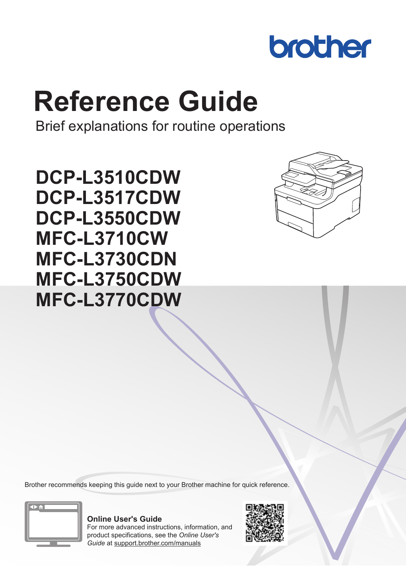

# **Reference Guide**

Brief explanations for routine operations

**DCP-L3510CDW DCP-L3517CDW DCP-L3550CDW MFC-L3710CW MFC-L3730CDN MFC-L3750CDW MFC-L3770CDW** 



Brother recommends keeping this guide next to your Brother machine for quick reference.



**Online User's Guide**

For more advanced instructions, information, and product specifications, see the *Online User's Guide* at [support.brother.com/manuals](http://support.brother.com/manuals/)

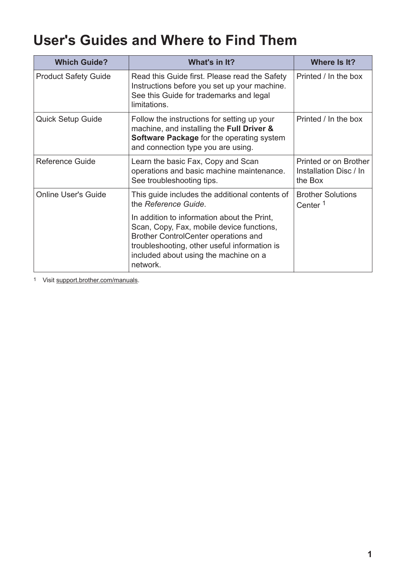## **User's Guides and Where to Find Them**

| <b>Which Guide?</b>         | What's in It?                                                                                                                                                                                                                                                                                                   | Where Is It?                                               |
|-----------------------------|-----------------------------------------------------------------------------------------------------------------------------------------------------------------------------------------------------------------------------------------------------------------------------------------------------------------|------------------------------------------------------------|
| <b>Product Safety Guide</b> | Read this Guide first. Please read the Safety<br>Instructions before you set up your machine.<br>See this Guide for trademarks and legal<br>limitations.                                                                                                                                                        | Printed / In the box                                       |
| Quick Setup Guide           | Follow the instructions for setting up your<br>machine, and installing the Full Driver &<br>Software Package for the operating system<br>and connection type you are using.                                                                                                                                     | Printed / In the box                                       |
| Reference Guide             | Learn the basic Fax, Copy and Scan<br>operations and basic machine maintenance.<br>See troubleshooting tips.                                                                                                                                                                                                    | Printed or on Brother<br>Installation Disc / In<br>the Box |
| Online User's Guide         | This guide includes the additional contents of<br>the Reference Guide.<br>In addition to information about the Print,<br>Scan, Copy, Fax, mobile device functions,<br>Brother ControlCenter operations and<br>troubleshooting, other useful information is<br>included about using the machine on a<br>network. | <b>Brother Solutions</b><br>Center <sup>1</sup>            |

1 Visit [support.brother.com/manuals](http://support.brother.com/manuals/).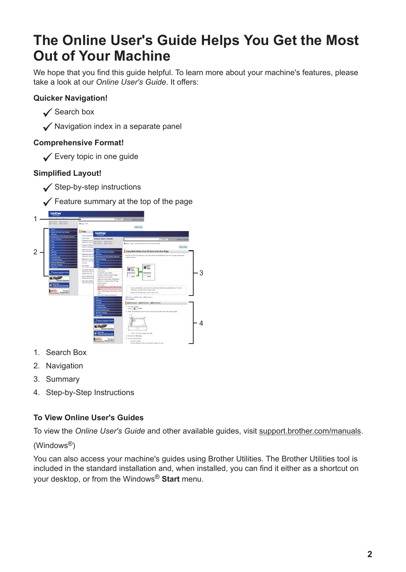## **The Online User's Guide Helps You Get the Most Out of Your Machine**

We hope that you find this guide helpful. To learn more about your machine's features, please take a look at our *Online User's Guide*. It offers:

### **Quicker Navigation!**

- $\checkmark$  Search box
- $\checkmark$  Navigation index in a separate panel

### **Comprehensive Format!**

 $\checkmark$  Every topic in one guide

### **Simplified Layout!**

- $\checkmark$  Step-by-step instructions
- $\checkmark$  Feature summary at the top of the page



- 1. Search Box
- 2. Navigation
- 3. Summary
- 4. Step-by-Step Instructions

### **To View Online User's Guides**

To view the *Online User's Guide* and other available guides, visit [support.brother.com/manuals](http://support.brother.com/manuals/).

### (Windows®)

You can also access your machine's guides using Brother Utilities. The Brother Utilities tool is included in the standard installation and, when installed, you can find it either as a shortcut on your desktop, or from the Windows® **Start** menu.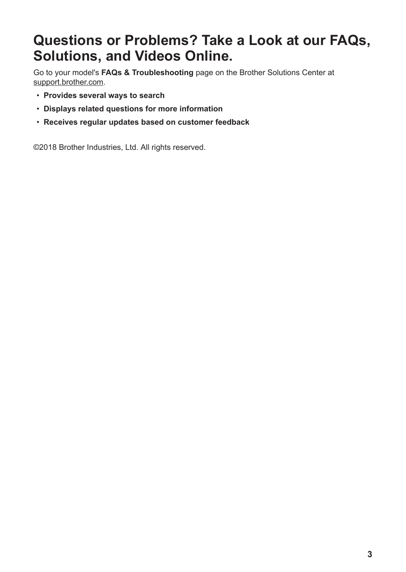## **Questions or Problems? Take a Look at our FAQs, Solutions, and Videos Online.**

Go to your model's **FAQs & Troubleshooting** page on the Brother Solutions Center at [support.brother.com](http://support.brother.com/).

- **Provides several ways to search**
- **Displays related questions for more information**
- **Receives regular updates based on customer feedback**

©2018 Brother Industries, Ltd. All rights reserved.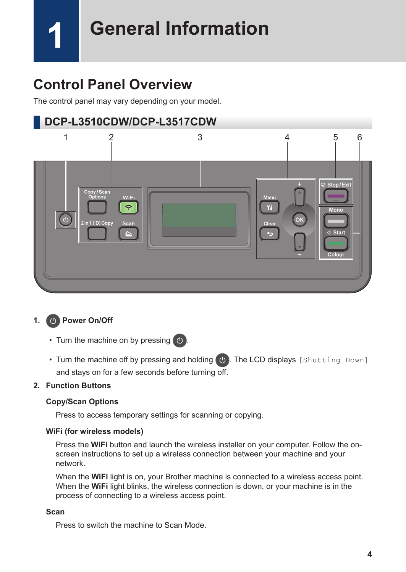**1 General Information**

## **Control Panel Overview**

The control panel may vary depending on your model.

### **DCP-L3510CDW/DCP-L3517CDW**



### 1. **(b)** Power On/Off

- Turn the machine on by pressing  $\Theta$ .
- Turn the machine off by pressing and holding  $(\circledcirc)$ . The LCD displays [Shutting Down] and stays on for a few seconds before turning off.

### **2. Function Buttons**

### **Copy/Scan Options**

Press to access temporary settings for scanning or copying.

### **WiFi (for wireless models)**

Press the **WiFi** button and launch the wireless installer on your computer. Follow the onscreen instructions to set up a wireless connection between your machine and your network.

When the **WiFi** light is on, your Brother machine is connected to a wireless access point. When the **WiFi** light blinks, the wireless connection is down, or your machine is in the process of connecting to a wireless access point.

### **Scan**

Press to switch the machine to Scan Mode.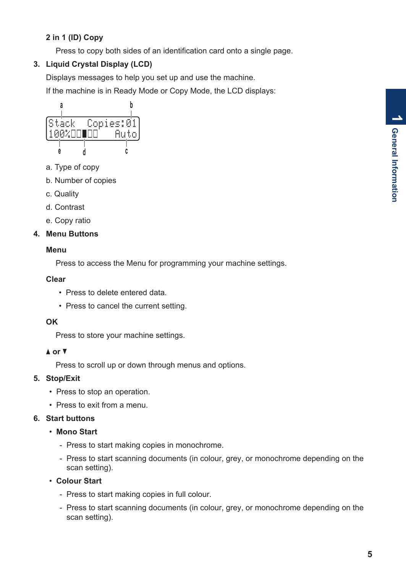### **2 in 1 (ID) Copy**

Press to copy both sides of an identification card onto a single page.

### **3. Liquid Crystal Display (LCD)**

Displays messages to help you set up and use the machine.

If the machine is in Ready Mode or Copy Mode, the LCD displays:



- a. Type of copy
- b. Number of copies
- c. Quality
- d. Contrast
- e. Copy ratio

### **4. Menu Buttons**

### **Menu**

Press to access the Menu for programming your machine settings.

### **Clear**

- Press to delete entered data.
- Press to cancel the current setting.

### **OK**

Press to store your machine settings.

### **a or b**

Press to scroll up or down through menus and options.

### **5. Stop/Exit**

- Press to stop an operation.
- Press to exit from a menu.

### **6. Start buttons**

- **Mono Start**
	- Press to start making copies in monochrome.
	- Press to start scanning documents (in colour, grey, or monochrome depending on the scan setting).
- **Colour Start**
	- Press to start making copies in full colour.
	- Press to start scanning documents (in colour, grey, or monochrome depending on the scan setting).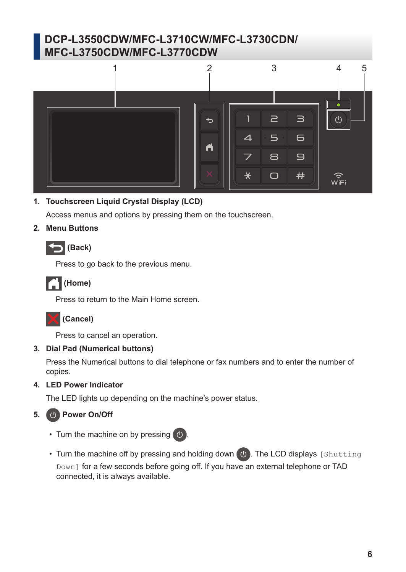### **DCP-L3550CDW/MFC-L3710CW/MFC-L3730CDN/ MFC-L3750CDW/MFC-L3770CDW**



### **1. Touchscreen Liquid Crystal Display (LCD)**

Access menus and options by pressing them on the touchscreen.

### **2. Menu Buttons**

### **(Back)**

Press to go back to the previous menu.

## **(Home)**

Press to return to the Main Home screen.

### **(Cancel)**

Press to cancel an operation.

### **3. Dial Pad (Numerical buttons)**

Press the Numerical buttons to dial telephone or fax numbers and to enter the number of copies.

### **4. LED Power Indicator**

The LED lights up depending on the machine's power status.

### **5.**  $\bullet$  **Power On/Off**

- Turn the machine on by pressing  $\left(\bigcup_{n=1}^{\infty} \mathbb{I}\right)$ .
- Turn the machine off by pressing and holding down  $\bigcirc$ . The LCD displays [Shutting] Down] for a few seconds before going off. If you have an external telephone or TAD connected, it is always available.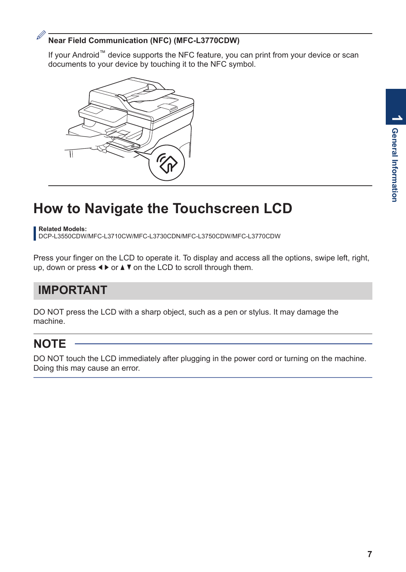### **Near Field Communication (NFC) (MFC-L3770CDW)**

If your Android™ device supports the NFC feature, you can print from your device or scan documents to your device by touching it to the NFC symbol.

## **How to Navigate the Touchscreen LCD**

**Related Models:**

DCP-L3550CDW/MFC-L3710CW/MFC-L3730CDN/MFC-L3750CDW/MFC-L3770CDW

Press your finger on the LCD to operate it. To display and access all the options, swipe left, right, up, down or press  $\triangleleft$  or  $\triangle$   $\triangledown$  on the LCD to scroll through them.

### **IMPORTANT**

DO NOT press the LCD with a sharp object, such as a pen or stylus. It may damage the machine.

### **NOTE**

DO NOT touch the LCD immediately after plugging in the power cord or turning on the machine. Doing this may cause an error.

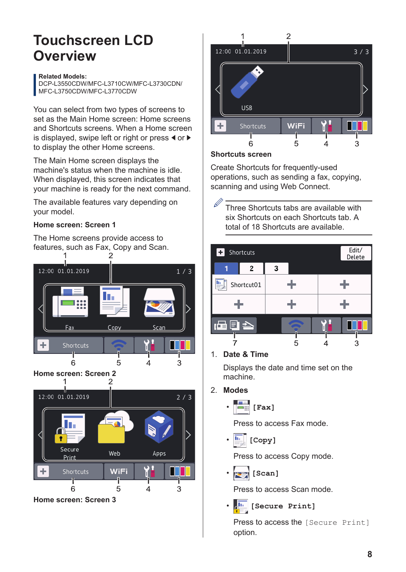## **Touchscreen LCD Overview**

#### **Related Models:**

DCP-L3550CDW/MFC-L3710CW/MFC-L3730CDN/ MFC-L3750CDW/MFC-L3770CDW

You can select from two types of screens to set as the Main Home screen: Home screens and Shortcuts screens. When a Home screen is displayed, swipe left or right or press  $\triangleleft$  or  $\triangleright$ to display the other Home screens.

The Main Home screen displays the machine's status when the machine is idle. When displayed, this screen indicates that your machine is ready for the next command.

The available features vary depending on your model.

### **Home screen: Screen 1**

The Home screens provide access to features, such as Fax, Copy and Scan.



### **Home screen: Screen 2**



**Home screen: Screen 3**



### **Shortcuts screen**

Create Shortcuts for frequently-used operations, such as sending a fax, copying, scanning and using Web Connect.

W Three Shortcuts tabs are available with six Shortcuts on each Shortcuts tab. A total of 18 Shortcuts are available.



1. **Date & Time**

Displays the date and time set on the machine.

- 2. **Modes**
	- $\boxed{\blacksquare}$  [Fax]

Press to access Fax mode.

• **[Copy]**

Press to access Copy mode.

• **[Scan]**

Press to access Scan mode.

• **[Secure Print]**

Press to access the [Secure Print] option.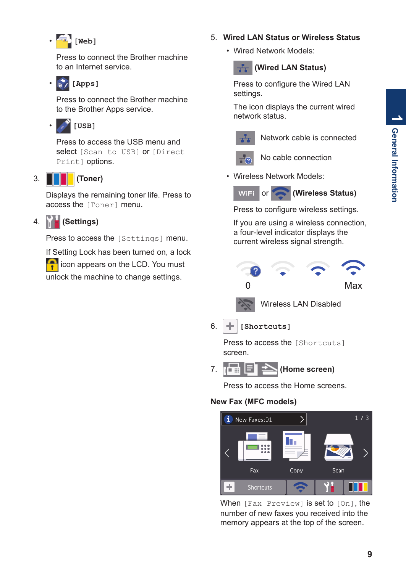**1**

## • **[Web]**

Press to connect the Brother machine to an Internet service.

### • **[Apps]**

Press to connect the Brother machine to the Brother Apps service.

### • **[USB]**

Press to access the USB menu and select [Scan to USB] or [Direct Print] options.

### 3. **(Toner)**

Displays the remaining toner life. Press to access the [Toner] menu.

### 4. **(Settings)**

Press to access the [Settings] menu.

If Setting Lock has been turned on, a lock icon appears on the LCD. You must unlock the machine to change settings.

- 5. **Wired LAN Status or Wireless Status**
	- Wired Network Models:





Press to configure the Wired LAN settings.

The icon displays the current wired network status.



Network cable is connected



No cable connection

• Wireless Network Models:





Press to configure wireless settings.

If you are using a wireless connection, a four-level indicator displays the current wireless signal strength.





Wireless LAN Disabled

 $6.$  **| [Shortcuts]** 

Press to access the [Shortcuts] screen.

7. **The**  $\mathbb{F}$  $\mathbb{F}$  $\mathbb{F}$   $\mathbb{F}$  (Home screen)

Press to access the Home screens.

### **New Fax (MFC models)**



When  $[Fast$  Preview] is set to  $[On]$ , the number of new faxes you received into the memory appears at the top of the screen.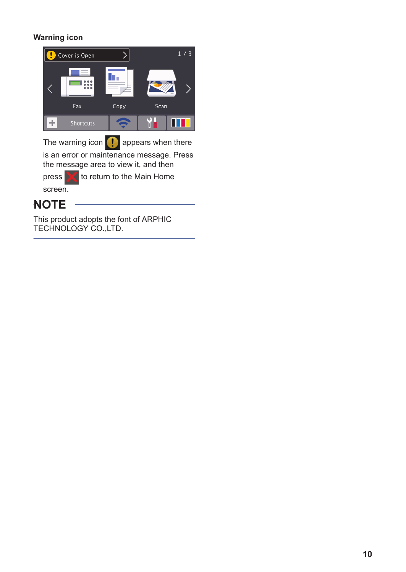### **Warning icon**



TECHNOLOGY CO., LTD.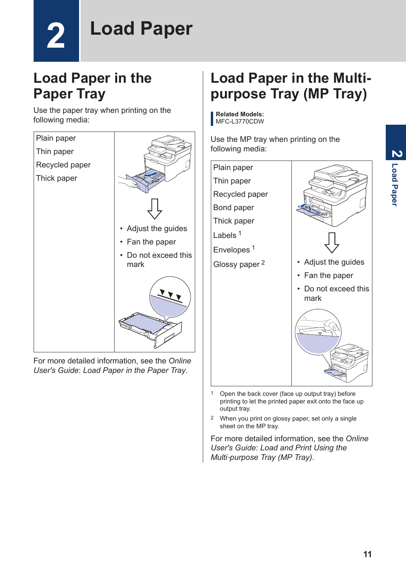**2**

## **Load Paper**

## **Load Paper in the Paper Tray**

Use the paper tray when printing on the following media:



For more detailed information, see the *Online User's Guide*: *Load Paper in the Paper Tray*.

## **Load Paper in the Multipurpose Tray (MP Tray)**

**Related Models:** MFC-L3770CDW

Use the MP tray when printing on the following media:



- 1 Open the back cover (face up output tray) before printing to let the printed paper exit onto the face up output tray.
- 2 When you print on glossy paper, set only a single sheet on the MP tray.

For more detailed information, see the *Online User's Guide*: *Load and Print Using the Multi*‑*purpose Tray (MP Tray)*.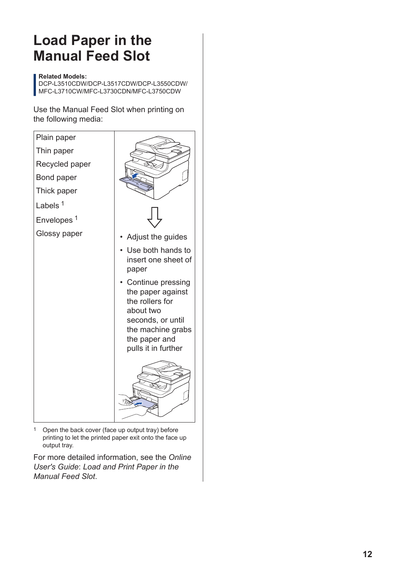## **Load Paper in the Manual Feed Slot**

#### **Related Models:**

DCP-L3510CDW/DCP-L3517CDW/DCP-L3550CDW/ MFC-L3710CW/MFC-L3730CDN/MFC-L3750CDW

Use the Manual Feed Slot when printing on the following media:



1 Open the back cover (face up output tray) before printing to let the printed paper exit onto the face up output tray.

For more detailed information, see the *Online User's Guide*: *Load and Print Paper in the Manual Feed Slot*.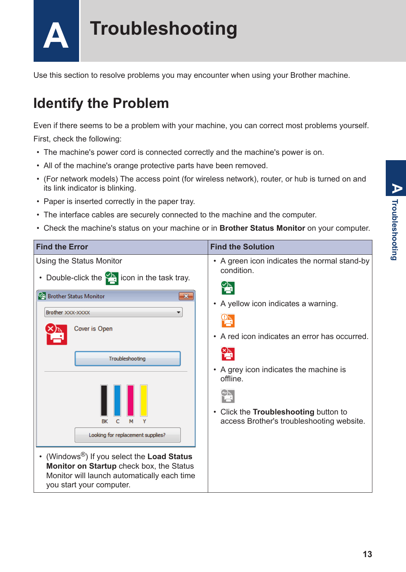**A Troubleshooting**

Use this section to resolve problems you may encounter when using your Brother machine.

## **Identify the Problem**

Even if there seems to be a problem with your machine, you can correct most problems yourself.

First, check the following:

- The machine's power cord is connected correctly and the machine's power is on.
- All of the machine's orange protective parts have been removed.
- (For network models) The access point (for wireless network), router, or hub is turned on and its link indicator is blinking.
- Paper is inserted correctly in the paper tray.
- The interface cables are securely connected to the machine and the computer.
- Check the machine's status on your machine or in **Brother Status Monitor** on your computer.



**A**

**Troubleshooting**

**Troubleshooting**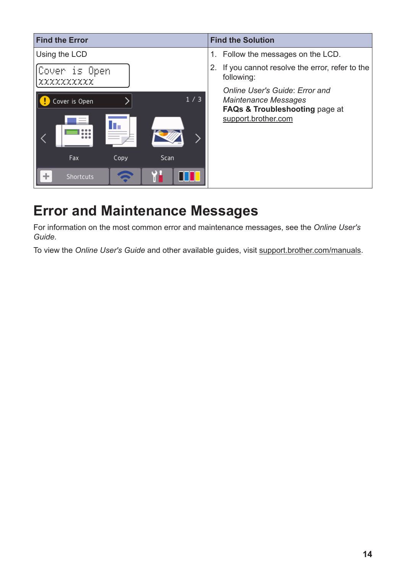| <b>Find the Error</b>                                                                  | <b>Find the Solution</b>                                                                                                          |
|----------------------------------------------------------------------------------------|-----------------------------------------------------------------------------------------------------------------------------------|
| Using the LCD                                                                          | 1. Follow the messages on the LCD.                                                                                                |
| Cover is Open<br>xxxxxxxxx                                                             | 2. If you cannot resolve the error, refer to the<br>following:                                                                    |
| 1/3<br>Cover is Open<br>$\sim$<br>ll s<br>Fax<br>Scan<br>Copy<br>÷<br><b>Shortcuts</b> | Online User's Guide: Error and<br><b>Maintenance Messages</b><br><b>FAQs &amp; Troubleshooting page at</b><br>support.brother.com |

## **Error and Maintenance Messages**

For information on the most common error and maintenance messages, see the *Online User's Guide*.

To view the *Online User's Guide* and other available guides, visit [support.brother.com/manuals](http://support.brother.com/manuals/).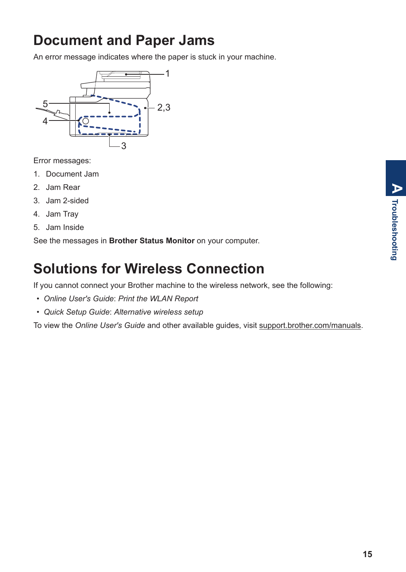## **Document and Paper Jams**

An error message indicates where the paper is stuck in your machine.



Error messages:

- 1. Document Jam
- 2. Jam Rear
- 3. Jam 2-sided
- 4. Jam Tray
- 5. Jam Inside

See the messages in **Brother Status Monitor** on your computer.

## **Solutions for Wireless Connection**

If you cannot connect your Brother machine to the wireless network, see the following:

- *Online User's Guide*: *Print the WLAN Report*
- *Quick Setup Guide*: *Alternative wireless setup*

To view the *Online User's Guide* and other available guides, visit [support.brother.com/manuals](http://support.brother.com/manuals/).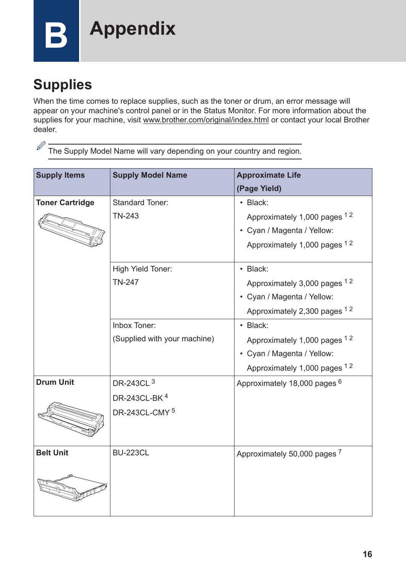**B Appendix**

## **Supplies**

When the time comes to replace supplies, such as the toner or drum, an error message will appear on your machine's control panel or in the Status Monitor. For more information about the supplies for your machine, visit [www.brother.com/original/index.html](http://www.brother.com/original/index.html) or contact your local Brother dealer.

The Supply Model Name will vary depending on your country and region.

| <b>Supply Items</b>    | <b>Supply Model Name</b>     | <b>Approximate Life</b>                 |
|------------------------|------------------------------|-----------------------------------------|
|                        |                              | (Page Yield)                            |
| <b>Toner Cartridge</b> | <b>Standard Toner:</b>       | • Black:                                |
|                        | <b>TN-243</b>                | Approximately 1,000 pages 12            |
|                        |                              | • Cyan / Magenta / Yellow:              |
|                        |                              | Approximately 1,000 pages 12            |
|                        | High Yield Toner:            | • Black:                                |
|                        | <b>TN-247</b>                | Approximately 3,000 pages 12            |
|                        |                              | • Cyan / Magenta / Yellow:              |
|                        |                              | Approximately 2,300 pages 12            |
|                        | Inbox Toner:                 | · Black:                                |
|                        | (Supplied with your machine) | Approximately 1,000 pages 12            |
|                        |                              | • Cyan / Magenta / Yellow:              |
|                        |                              | Approximately 1,000 pages 12            |
| <b>Drum Unit</b>       | DR-243CL 3                   | Approximately 18,000 pages <sup>6</sup> |
|                        | DR-243CL-BK <sup>4</sup>     |                                         |
|                        | DR-243CL-CMY <sup>5</sup>    |                                         |
|                        |                              |                                         |
| <b>Belt Unit</b>       | <b>BU-223CL</b>              | Approximately 50,000 pages <sup>7</sup> |
|                        |                              |                                         |
|                        |                              |                                         |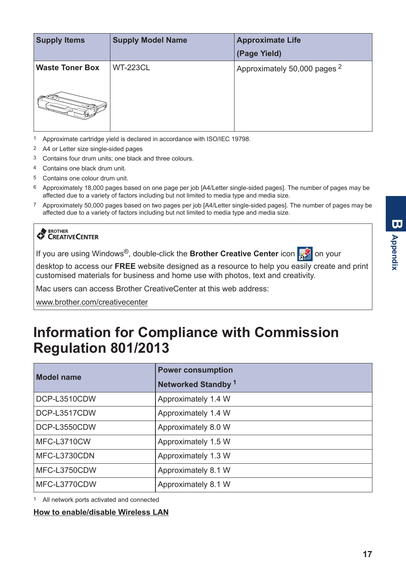<span id="page-17-0"></span>

| <b>Supply Items</b>                  | <b>Supply Model Name</b> | <b>Approximate Life</b><br>(Page Yield) |
|--------------------------------------|--------------------------|-----------------------------------------|
| <b>Waste Toner Box</b><br>كالمستنصية | <b>WT-223CL</b>          | Approximately 50,000 pages 2            |

- 1 Approximate cartridge yield is declared in accordance with ISO/IEC 19798.
- 2 A4 or Letter size single-sided pages
- 3 Contains four drum units; one black and three colours.
- 4 Contains one black drum unit.
- 5 Contains one colour drum unit.
- 6 Approximately 18,000 pages based on one page per job [A4/Letter single-sided pages]. The number of pages may be affected due to a variety of factors including but not limited to media type and media size.
- 7 Approximately 50,000 pages based on two pages per job [A4/Letter single-sided pages]. The number of pages may be affected due to a variety of factors including but not limited to media type and media size.

### BROTHER<br>CREATIVECENTER

If you are using Windows<sup>®</sup>, double-click the **Brother Creative Center** icon **on** your



desktop to access our **FREE** website designed as a resource to help you easily create and print customised materials for business and home use with photos, text and creativity.

Mac users can access Brother CreativeCenter at this web address:

[www.brother.com/creativecenter](http://www.brother.com/creativecenter)

## **Information for Compliance with Commission Regulation 801/2013**

| <b>Model name</b> | <b>Power consumption</b>       |
|-------------------|--------------------------------|
|                   | Networked Standby <sup>1</sup> |
| DCP-L3510CDW      | Approximately 1.4 W            |
| DCP-L3517CDW      | Approximately 1.4 W            |
| DCP-L3550CDW      | Approximately 8.0 W            |
| MFC-L3710CW       | Approximately 1.5 W            |
| MFC-L3730CDN      | Approximately 1.3 W            |
| MFC-L3750CDW      | Approximately 8.1 W            |
| MFC-L3770CDW      | Approximately 8.1 W            |

1 All network ports activated and connected

### **How to enable/disable Wireless LAN**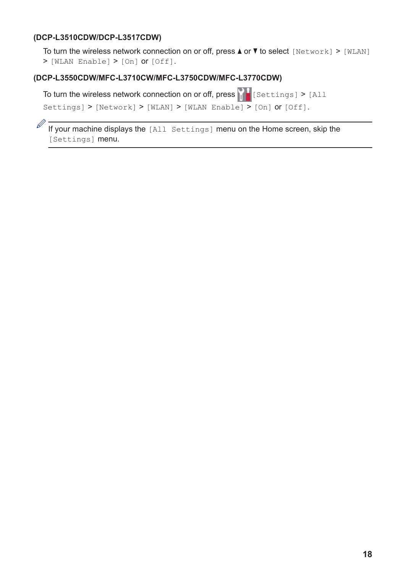### **(DCP-L3510CDW/DCP-L3517CDW)**

To turn the wireless network connection on or off, press  $\triangle$  or  $\nabla$  to select  $[Ne{\text{twork}}] > [W{\text{LAN}}]$ > [WLAN Enable] > [On] or [Off].

### **(DCP-L3550CDW/MFC-L3710CW/MFC-L3750CDW/MFC-L3770CDW)**

To turn the wireless network connection on or off, press  $\frac{1}{16}$  [Settings] > [All Settings] > [Network] > [WLAN] > [WLAN Enable] > [On] or [Off].

 $\mathbb Z$  If your machine displays the [All Settings] menu on the Home screen, skip the [Settings] menu.